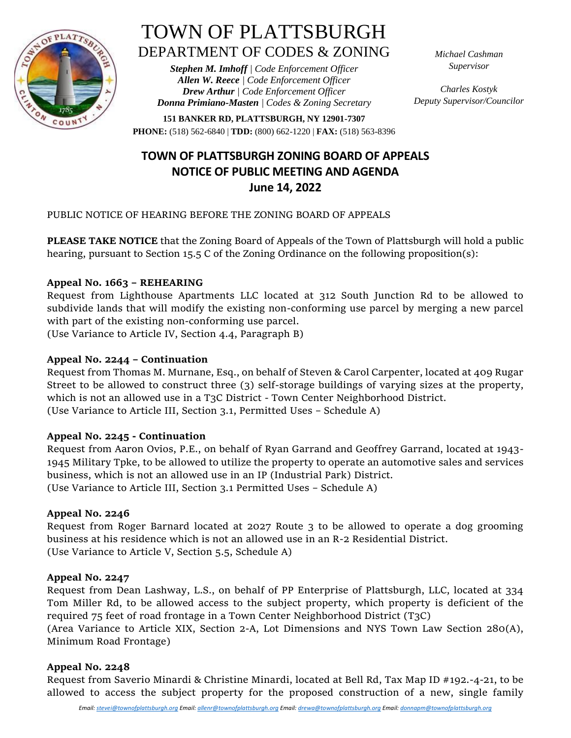

# TOWN OF PLATTSBURGH DEPARTMENT OF CODES & ZONING

*Stephen M. Imhoff | Code Enforcement Officer Allen W. Reece | Code Enforcement Officer Drew Arthur | Code Enforcement Officer Donna Primiano-Masten | Codes & Zoning Secretary* *Michael Cashman Supervisor*

*Charles Kostyk Deputy Supervisor/Councilor*

**151 BANKER RD, PLATTSBURGH, NY 12901-7307 PHONE:** (518) 562-6840 | **TDD:** (800) 662-1220 | **FAX:** (518) 563-8396

## **TOWN OF PLATTSBURGH ZONING BOARD OF APPEALS NOTICE OF PUBLIC MEETING AND AGENDA June 14, 2022**

PUBLIC NOTICE OF HEARING BEFORE THE ZONING BOARD OF APPEALS

**PLEASE TAKE NOTICE** that the Zoning Board of Appeals of the Town of Plattsburgh will hold a public hearing, pursuant to Section 15.5 C of the Zoning Ordinance on the following proposition(s):

### **Appeal No. 1663 – REHEARING**

Request from Lighthouse Apartments LLC located at 312 South Junction Rd to be allowed to subdivide lands that will modify the existing non-conforming use parcel by merging a new parcel with part of the existing non-conforming use parcel.

(Use Variance to Article IV, Section 4.4, Paragraph B)

### **Appeal No. 2244 – Continuation**

Request from Thomas M. Murnane, Esq., on behalf of Steven & Carol Carpenter, located at 409 Rugar Street to be allowed to construct three (3) self-storage buildings of varying sizes at the property, which is not an allowed use in a T3C District - Town Center Neighborhood District. (Use Variance to Article III, Section 3.1, Permitted Uses – Schedule A)

#### **Appeal No. 2245 - Continuation**

Request from Aaron Ovios, P.E., on behalf of Ryan Garrand and Geoffrey Garrand, located at 1943- 1945 Military Tpke, to be allowed to utilize the property to operate an automotive sales and services business, which is not an allowed use in an IP (Industrial Park) District. (Use Variance to Article III, Section 3.1 Permitted Uses – Schedule A)

#### **Appeal No. 2246**

Request from Roger Barnard located at 2027 Route 3 to be allowed to operate a dog grooming business at his residence which is not an allowed use in an R-2 Residential District. (Use Variance to Article V, Section 5.5, Schedule A)

#### **Appeal No. 2247**

Request from Dean Lashway, L.S., on behalf of PP Enterprise of Plattsburgh, LLC, located at 334 Tom Miller Rd, to be allowed access to the subject property, which property is deficient of the required 75 feet of road frontage in a Town Center Neighborhood District (T3C)

(Area Variance to Article XIX, Section 2-A, Lot Dimensions and NYS Town Law Section 280(A), Minimum Road Frontage)

#### **Appeal No. 2248**

Request from Saverio Minardi & Christine Minardi, located at Bell Rd, Tax Map ID #192.-4-21, to be allowed to access the subject property for the proposed construction of a new, single family